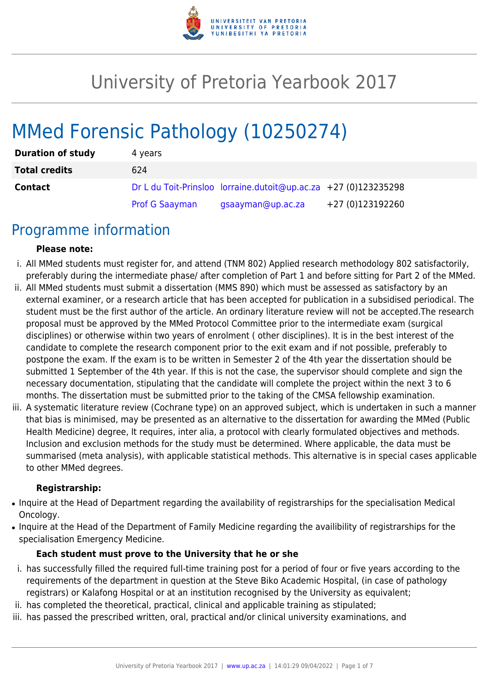

# University of Pretoria Yearbook 2017

# MMed Forensic Pathology (10250274)

| <b>Duration of study</b> | 4 years               |                                                                 |                  |
|--------------------------|-----------------------|-----------------------------------------------------------------|------------------|
| <b>Total credits</b>     | 624                   |                                                                 |                  |
| <b>Contact</b>           |                       | Dr L du Toit-Prinsloo lorraine.dutoit@up.ac.za +27 (0)123235298 |                  |
|                          | <b>Prof G Saayman</b> | gsaayman@up.ac.za                                               | +27 (0)123192260 |

### Programme information

#### **Please note:**

- i. All MMed students must register for, and attend (TNM 802) Applied research methodology 802 satisfactorily, preferably during the intermediate phase/ after completion of Part 1 and before sitting for Part 2 of the MMed.
- ii. All MMed students must submit a dissertation (MMS 890) which must be assessed as satisfactory by an external examiner, or a research article that has been accepted for publication in a subsidised periodical. The student must be the first author of the article. An ordinary literature review will not be accepted.The research proposal must be approved by the MMed Protocol Committee prior to the intermediate exam (surgical disciplines) or otherwise within two years of enrolment ( other disciplines). It is in the best interest of the candidate to complete the research component prior to the exit exam and if not possible, preferably to postpone the exam. If the exam is to be written in Semester 2 of the 4th year the dissertation should be submitted 1 September of the 4th year. If this is not the case, the supervisor should complete and sign the necessary documentation, stipulating that the candidate will complete the project within the next 3 to 6 months. The dissertation must be submitted prior to the taking of the CMSA fellowship examination.
- iii. A systematic literature review (Cochrane type) on an approved subject, which is undertaken in such a manner that bias is minimised, may be presented as an alternative to the dissertation for awarding the MMed (Public Health Medicine) degree, It requires, inter alia, a protocol with clearly formulated objectives and methods. Inclusion and exclusion methods for the study must be determined. Where applicable, the data must be summarised (meta analysis), with applicable statistical methods. This alternative is in special cases applicable to other MMed degrees.

#### **Registrarship:**

- Inquire at the Head of Department regarding the availability of registrarships for the specialisation Medical Oncology.
- Inquire at the Head of the Department of Family Medicine regarding the availibility of registrarships for the specialisation Emergency Medicine.

#### **Each student must prove to the University that he or she**

- i. has successfully filled the required full-time training post for a period of four or five years according to the requirements of the department in question at the Steve Biko Academic Hospital, (in case of pathology registrars) or Kalafong Hospital or at an institution recognised by the University as equivalent;
- ii. has completed the theoretical, practical, clinical and applicable training as stipulated;
- iii. has passed the prescribed written, oral, practical and/or clinical university examinations, and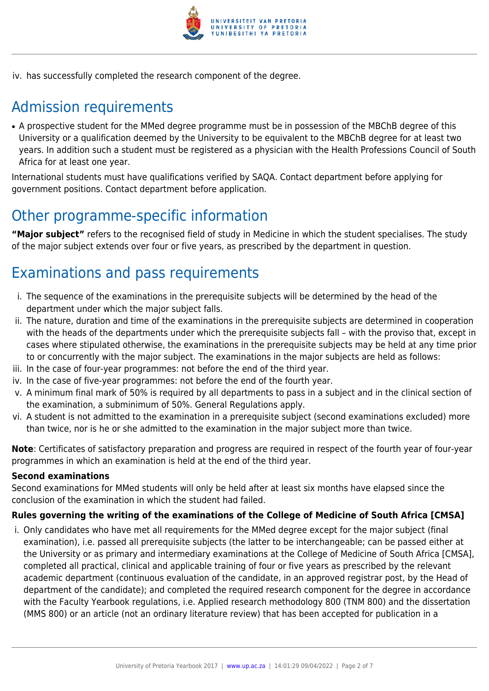

iv. has successfully completed the research component of the degree.

# Admission requirements

• A prospective student for the MMed degree programme must be in possession of the MBChB degree of this University or a qualification deemed by the University to be equivalent to the MBChB degree for at least two years. In addition such a student must be registered as a physician with the Health Professions Council of South Africa for at least one year.

International students must have qualifications verified by SAQA. Contact department before applying for government positions. Contact department before application.

# Other programme-specific information

**"Major subject"** refers to the recognised field of study in Medicine in which the student specialises. The study of the major subject extends over four or five years, as prescribed by the department in question.

# Examinations and pass requirements

- i. The sequence of the examinations in the prerequisite subjects will be determined by the head of the department under which the major subject falls.
- ii. The nature, duration and time of the examinations in the prerequisite subjects are determined in cooperation with the heads of the departments under which the prerequisite subjects fall – with the proviso that, except in cases where stipulated otherwise, the examinations in the prerequisite subjects may be held at any time prior to or concurrently with the major subject. The examinations in the major subjects are held as follows:
- iii. In the case of four-year programmes: not before the end of the third year.
- iv. In the case of five-year programmes: not before the end of the fourth year.
- v. A minimum final mark of 50% is required by all departments to pass in a subject and in the clinical section of the examination, a subminimum of 50%. General Regulations apply.
- vi. A student is not admitted to the examination in a prerequisite subject (second examinations excluded) more than twice, nor is he or she admitted to the examination in the major subject more than twice.

**Note**: Certificates of satisfactory preparation and progress are required in respect of the fourth year of four-year programmes in which an examination is held at the end of the third year.

#### **Second examinations**

Second examinations for MMed students will only be held after at least six months have elapsed since the conclusion of the examination in which the student had failed.

#### **Rules governing the writing of the examinations of the College of Medicine of South Africa [CMSA]**

i. Only candidates who have met all requirements for the MMed degree except for the major subject (final examination), i.e. passed all prerequisite subjects (the latter to be interchangeable; can be passed either at the University or as primary and intermediary examinations at the College of Medicine of South Africa [CMSA], completed all practical, clinical and applicable training of four or five years as prescribed by the relevant academic department (continuous evaluation of the candidate, in an approved registrar post, by the Head of department of the candidate); and completed the required research component for the degree in accordance with the Faculty Yearbook regulations, i.e. Applied research methodology 800 (TNM 800) and the dissertation (MMS 800) or an article (not an ordinary literature review) that has been accepted for publication in a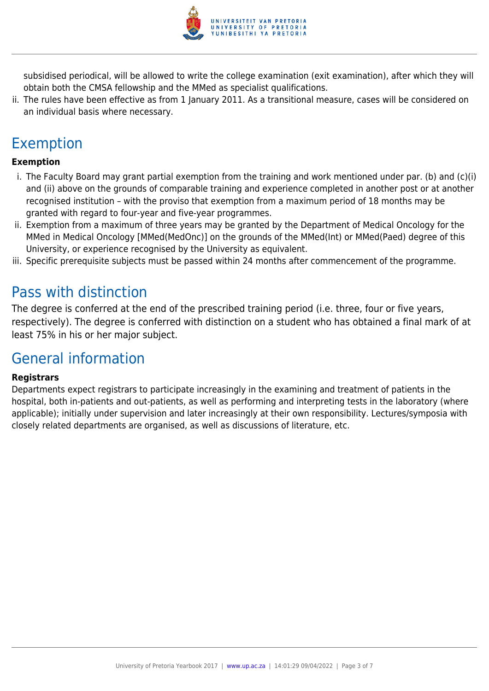

subsidised periodical, will be allowed to write the college examination (exit examination), after which they will obtain both the CMSA fellowship and the MMed as specialist qualifications.

ii. The rules have been effective as from 1 January 2011. As a transitional measure, cases will be considered on an individual basis where necessary.

# Exemption

#### **Exemption**

- i. The Faculty Board may grant partial exemption from the training and work mentioned under par. (b) and (c)(i) and (ii) above on the grounds of comparable training and experience completed in another post or at another recognised institution – with the proviso that exemption from a maximum period of 18 months may be granted with regard to four-year and five-year programmes.
- ii. Exemption from a maximum of three years may be granted by the Department of Medical Oncology for the MMed in Medical Oncology [MMed(MedOnc)] on the grounds of the MMed(Int) or MMed(Paed) degree of this University, or experience recognised by the University as equivalent.
- iii. Specific prerequisite subjects must be passed within 24 months after commencement of the programme.

### Pass with distinction

The degree is conferred at the end of the prescribed training period (i.e. three, four or five years, respectively). The degree is conferred with distinction on a student who has obtained a final mark of at least 75% in his or her major subject.

### General information

#### **Registrars**

Departments expect registrars to participate increasingly in the examining and treatment of patients in the hospital, both in-patients and out-patients, as well as performing and interpreting tests in the laboratory (where applicable); initially under supervision and later increasingly at their own responsibility. Lectures/symposia with closely related departments are organised, as well as discussions of literature, etc.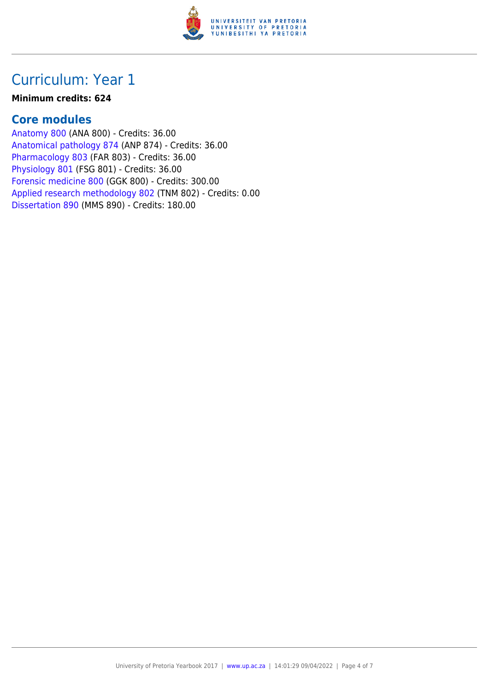

### Curriculum: Year 1

#### **Minimum credits: 624**

### **Core modules**

[Anatomy 800](https://www.up.ac.za/faculty-of-education/yearbooks/2017/modules/view/ANA 800) (ANA 800) - Credits: 36.00 [Anatomical pathology 874](https://www.up.ac.za/faculty-of-education/yearbooks/2017/modules/view/ANP 874) (ANP 874) - Credits: 36.00 [Pharmacology 803](https://www.up.ac.za/faculty-of-education/yearbooks/2017/modules/view/FAR 803) (FAR 803) - Credits: 36.00 [Physiology 801](https://www.up.ac.za/faculty-of-education/yearbooks/2017/modules/view/FSG 801) (FSG 801) - Credits: 36.00 [Forensic medicine 800](https://www.up.ac.za/faculty-of-education/yearbooks/2017/modules/view/GGK 800) (GGK 800) - Credits: 300.00 [Applied research methodology 802](https://www.up.ac.za/faculty-of-education/yearbooks/2017/modules/view/TNM 802) (TNM 802) - Credits: 0.00 [Dissertation 890](https://www.up.ac.za/faculty-of-education/yearbooks/2017/modules/view/MMS 890) (MMS 890) - Credits: 180.00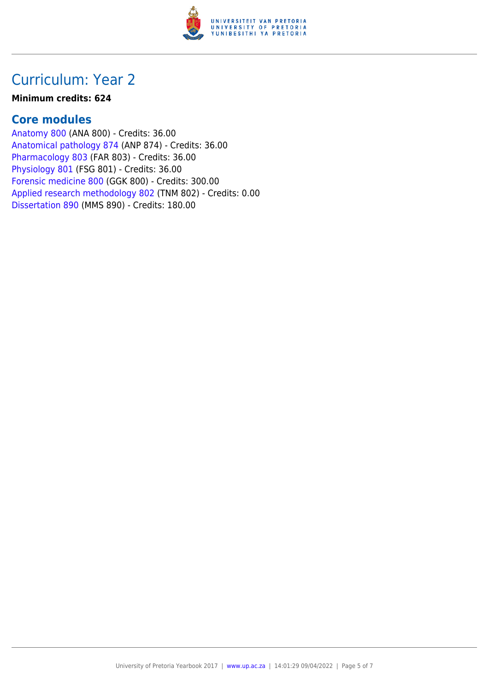

### Curriculum: Year 2

#### **Minimum credits: 624**

### **Core modules**

[Anatomy 800](https://www.up.ac.za/faculty-of-education/yearbooks/2017/modules/view/ANA 800) (ANA 800) - Credits: 36.00 [Anatomical pathology 874](https://www.up.ac.za/faculty-of-education/yearbooks/2017/modules/view/ANP 874) (ANP 874) - Credits: 36.00 [Pharmacology 803](https://www.up.ac.za/faculty-of-education/yearbooks/2017/modules/view/FAR 803) (FAR 803) - Credits: 36.00 [Physiology 801](https://www.up.ac.za/faculty-of-education/yearbooks/2017/modules/view/FSG 801) (FSG 801) - Credits: 36.00 [Forensic medicine 800](https://www.up.ac.za/faculty-of-education/yearbooks/2017/modules/view/GGK 800) (GGK 800) - Credits: 300.00 [Applied research methodology 802](https://www.up.ac.za/faculty-of-education/yearbooks/2017/modules/view/TNM 802) (TNM 802) - Credits: 0.00 [Dissertation 890](https://www.up.ac.za/faculty-of-education/yearbooks/2017/modules/view/MMS 890) (MMS 890) - Credits: 180.00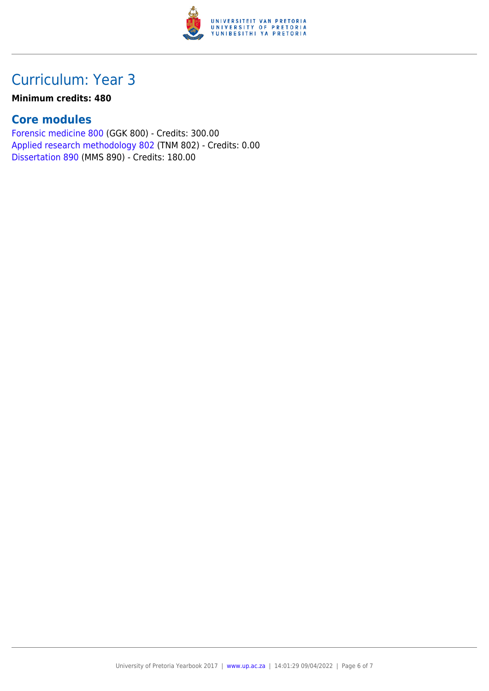

## Curriculum: Year 3

#### **Minimum credits: 480**

### **Core modules**

[Forensic medicine 800](https://www.up.ac.za/faculty-of-education/yearbooks/2017/modules/view/GGK 800) (GGK 800) - Credits: 300.00 [Applied research methodology 802](https://www.up.ac.za/faculty-of-education/yearbooks/2017/modules/view/TNM 802) (TNM 802) - Credits: 0.00 [Dissertation 890](https://www.up.ac.za/faculty-of-education/yearbooks/2017/modules/view/MMS 890) (MMS 890) - Credits: 180.00